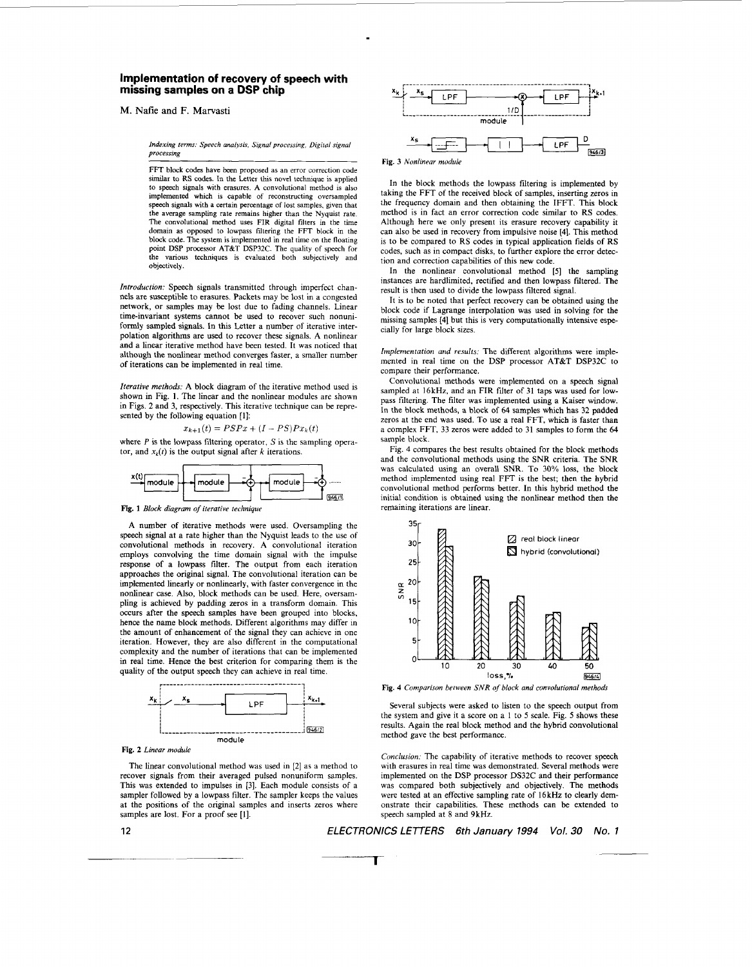## **Implementation of recovery of speech with missing samples on a DSP chip**

M. **Nafie and F. Marvasti** 

*Indexing terms: Speech analysis, Signal processing, Digifol signal processing* 

**FFT** block codes have been proposed as an error correction code similar to RS codes. In the Letter this novel technique is applied to speech signals with erasures. A convolutional method is also implemented which **is** capable of reconstructing oversampled speech signals with a certain percentage of lost samples, given that the average sampling rate remains higher than the Nyquist rate. The convolutional method **uses** FIR digital filters in the time domain as opposed to lowpass filtering the FFT block in the block code. The system is implemented in real time on the floating point **DSP** processor AT&T **DSP32C.** The quality of speech for the various techniques is evaluated both subjectively and objectively.

*Introduction:* Speech signals transmitted through imperfect channels are susceptible to erasures. Packets may be lost in a congested network, or samples may he lost due to fading channels. Linear time-invariant systems cannot he used to recover such nonunifonnly sampled signals. **In** this Letter a number of iterative interpolation algorithms are used to recover these signals. A nonlinear and a linear iterative method have been tested. It was noticed that although the nonlinear method converges faster, a smaller number of iterations can be implemented in real time.

*Iterative methods:* A block diagram of the iterative method used is shown in Fig. **1.** The linear and the nonlinear modules are shown in Figs. **2** and 3, respectively. This iterative technique can be represented by the following equation [1]:<br>  $x_{k+1}(t) = PSPx + (I - PS)Px_k(t)$ 

$$
x_{k+1}(t) = PSPx + (I - PS)Px_k(t)
$$

where  $P$  is the lowpass filtering operator,  $S$  is the sampling operator, and  $x_k(t)$  is the output signal after *k* iterations.



Fig. 1 Block diagram of iterative technique

A number of iterative methods were used. Oversampling the speech signal at a rate higher than the Nyquist leads to the use of convolutional methods in recovery. A convolutional iteration employs convolving the time domain signal with the impulse response of a lowpass filter. The output from each iteration approaches the original signal. The convolutional iteration can be implemented linearly or nonlinearly, with faster convergence in the nonlinear case. Also, block methods can be used. Here, oversampling is achieved by padding zeros in a transform domain. This occurs after the speech samples have been grouped into blocks, hence the name block methods. Different algorithms may differ in the amount of enhancement of the signal they can achieve in one iteration. However, they are also different in the computational complexity and the number of iterations that can be implemented in real time. Hence the best criterion for comparing them is the



**Fig. 2** *Linear maduk* 

The linear convolutional method was used in [2] as a method to recover signals from their averaged pulsed nonuniform samples. This was extended to impulses in [3]. Each module consists of a sampler followed by a lowpass filter. The sampler keeps the values at the positions **of** the original samples and inserts zeros where samples are lost. For a proof see [I].



**Fig.** *3 Nonlinear module* 

**In** the block methods the lowpass filtering is implemented by taking the FFT of the received block of samples, inserting zeros in the frequency domain and then obtaining the IFFT. This block method is in fact an error correction code similar to RS codes. Although here we only present its erasure recovery capability it can also be used in recovery from impulsive noise **[4].** This method is to he compared to RS codes in typical application fields **of** RS codes, such as in compact disks, to further explore the error detection and correction capabilities of this new code.

**In** the nonlinear convolutional method [5] the sampling instances are hardlimited, rectified and then lowpass fitered. The result is then used to divide the lowpass filtered signal.

It is to be noted that perfect recovery can be obtained using the block code if Lagrange interpolation was used in solving for the missing samples **[4]** but this is very computationally intensive especially for large block sizes.

*Implemenfation and* **results:** The different algorithms were implemented in real time on the DSP processor AT&T DSP32C to compare their performance.

Convolutional methods were implemented on a speech signal sampled at 16kHz, and an FIR filter of 31 taps was used for lowpass filtering. The filter was implemented using a Kaiser window. In the block methods, a block of *64* samples which has **32** padded zeros at the end was used. To use a real FFT, which is faster than a complex FFT, 33 zeros were added to 31 samples to form the *64*  sample block.

Fig. **4** compares the best results obtained for the block methods and the convolutional methods using the SNR criteria. The SNR was calculated using an overall SNR. To 30% **loss,** the block method implemented using real FFT is the best; then the hybrid convolutional method performs better. In this hybrid method the initial condition is obtained using the nonlinear method then the remaining iterations are linear.



Fig. 4 Comparison between SNR of block and convolutional methods

Several subjects were asked to listen to the speech output from the system and give it a score on a **1** to *5* scale. Fig. *5* shows these results. Again the real block method and the hybrid convolutional method gave the best performance.

*Conclusion:* The capability of iterative methods to recover speech with erasures in real time was demonstrated. Several methods were implemented on the DSP processor DS32C and their performance was compared both subjectively and objectively. The methods were tested at an effective sampling rate of I6kHz to clearly demonstrate their capabilities. These methods can be extended to speech sampled at 8 and 9kHz.

*ELECTRONICS LETTERS 6th January 1994 Vol. 30 No. 1* 

 $\overline{\phantom{a}}$ 

**12**